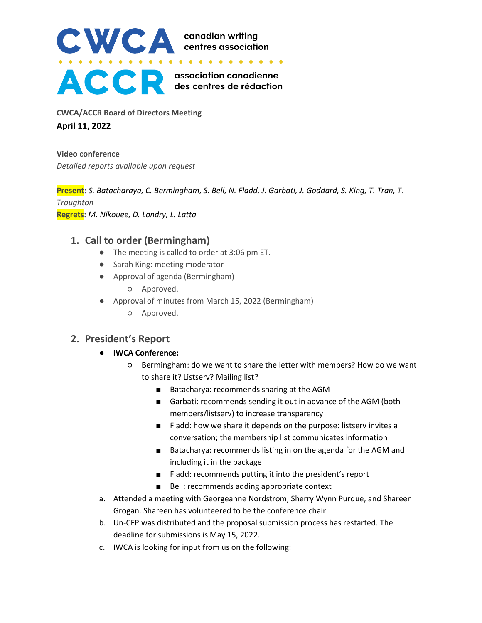

**CWCA/ACCR Board of Directors Meeting April 11, 2022**

**Video conference** *Detailed reports available upon request*

**Present:** *S. Batacharaya, C. Bermingham, S. Bell, N. Fladd, J. Garbati, J. Goddard, S. King, T. Tran, T. Troughton* **Regrets:** *M. Nikouee, D. Landry, L. Latta*

# **1. Call to order (Bermingham)**

- The meeting is called to order at 3:06 pm ET.
- Sarah King: meeting moderator
- Approval of agenda (Bermingham)
	- Approved.
- Approval of minutes from March 15, 2022 (Bermingham)
	- Approved.

# **2. President's Report**

- **IWCA Conference:**
	- Bermingham: do we want to share the letter with members? How do we want to share it? Listserv? Mailing list?
		- Batacharya: recommends sharing at the AGM
		- Garbati: recommends sending it out in advance of the AGM (both members/listserv) to increase transparency
		- Fladd: how we share it depends on the purpose: listsery invites a conversation; the membership list communicates information
		- Batacharya: recommends listing in on the agenda for the AGM and including it in the package
		- Fladd: recommends putting it into the president's report
		- Bell: recommends adding appropriate context
- a. Attended a meeting with Georgeanne Nordstrom, Sherry Wynn Purdue, and Shareen Grogan. Shareen has volunteered to be the conference chair.
- b. Un-CFP was distributed and the proposal submission process has restarted. The deadline for submissions is May 15, 2022.
- c. IWCA is looking for input from us on the following: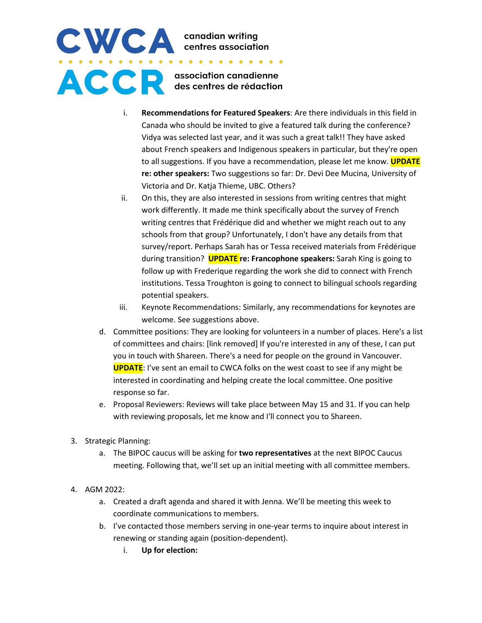# CWCA canadian writing<br>
.......................... ACCR association canadienne

- i. **Recommendations for Featured Speakers**: Are there individuals in this field in Canada who should be invited to give a featured talk during the conference? Vidya was selected last year, and it was such a great talk!! They have asked about French speakers and Indigenous speakers in particular, but they're open to all suggestions. If you have a recommendation, please let me know. **UPDATE re: other speakers:** Two suggestions so far: Dr. Devi Dee Mucina, University of Victoria and Dr. Katja Thieme, UBC. Others?
- ii. On this, they are also interested in sessions from writing centres that might work differently. It made me think specifically about the survey of French writing centres that Frédérique did and whether we might reach out to any schools from that group? Unfortunately, I don't have any details from that survey/report. Perhaps Sarah has or Tessa received materials from Frédérique during transition? **UPDATE re: Francophone speakers:** Sarah King is going to follow up with Frederique regarding the work she did to connect with French institutions. Tessa Troughton is going to connect to bilingual schools regarding potential speakers.
- iii. Keynote Recommendations: Similarly, any recommendations for keynotes are welcome. See suggestions above.
- d. Committee positions: They are looking for volunteers in a number of places. Here's a list of committees and chairs: [link removed] If you're interested in any of these, I can put you in touch with Shareen. There's a need for people on the ground in Vancouver. **UPDATE**: I've sent an email to CWCA folks on the west coast to see if any might be interested in coordinating and helping create the local committee. One positive response so far.
- e. Proposal Reviewers: Reviews will take place between May 15 and 31. If you can help with reviewing proposals, let me know and I'll connect you to Shareen.
- 3. Strategic Planning:
	- a. The BIPOC caucus will be asking for **two representatives** at the next BIPOC Caucus meeting. Following that, we'll set up an initial meeting with all committee members.
- 4. AGM 2022:
	- a. Created a draft agenda and shared it with Jenna. We'll be meeting this week to coordinate communications to members.
	- b. I've contacted those members serving in one-year terms to inquire about interest in renewing or standing again (position-dependent).
		- i. **Up for election:**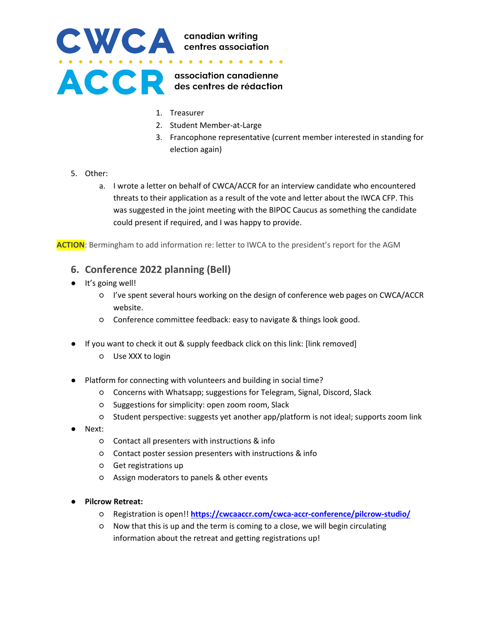

- 1. Treasurer
- 2. Student Member-at-Large
- 3. Francophone representative (current member interested in standing for election again)
- 5. Other:
	- a. I wrote a letter on behalf of CWCA/ACCR for an interview candidate who encountered threats to their application as a result of the vote and letter about the IWCA CFP. This was suggested in the joint meeting with the BIPOC Caucus as something the candidate could present if required, and I was happy to provide.

**ACTION**: Bermingham to add information re: letter to IWCA to the president's report for the AGM

#### **6. Conference 2022 planning (Bell)**

- It's going well!
	- I've spent several hours working on the design of conference web pages on CWCA/ACCR website.
	- Conference committee feedback: easy to navigate & things look good.
- If you want to check it out & supply feedback click on this link: [link removed]
	- Use XXX to login
- Platform for connecting with volunteers and building in social time?
	- Concerns with Whatsapp; suggestions for Telegram, Signal, Discord, Slack
	- Suggestions for simplicity: open zoom room, Slack
	- Student perspective: suggests yet another app/platform is not ideal; supports zoom link
- Next:
	- Contact all presenters with instructions & info
	- Contact poster session presenters with instructions & info
	- Get registrations up
	- Assign moderators to panels & other events
- **Pilcrow Retreat:**
	- Registration is open!! **<https://cwcaaccr.com/cwca-accr-conference/pilcrow-studio/>**
	- Now that this is up and the term is coming to a close, we will begin circulating information about the retreat and getting registrations up!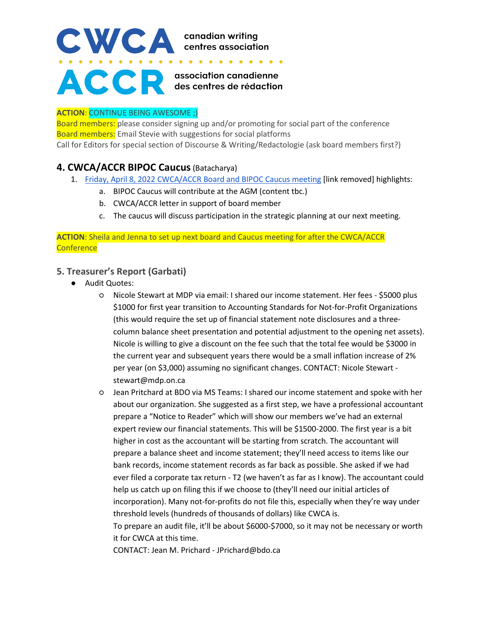# CWCA canadian writing<br>centres association  $\begin{array}{cccccccccccccc} \bullet & \bullet & \bullet & \bullet & \bullet & \bullet & \bullet & \bullet \end{array}$ **ACCE** escentres de rédaction

#### **ACTION**: CONTINUE BEING AWESOME ;)

Board members: please consider signing up and/or promoting for social part of the conference Board members: Email Stevie with suggestions for social platforms Call for Editors for special section of Discourse & Writing/Redactologie (ask board members first?)

# **4. CWCA/ACCR BIPOC Caucus**(Batacharya)

- 1. Friday, April 8, 2022 CWCA/ACCR Board and BIPOC Caucus meeting [link removed] highlights:
	- a. BIPOC Caucus will contribute at the AGM (content tbc.)
	- b. CWCA/ACCR letter in support of board member
	- c. The caucus will discuss participation in the strategic planning at our next meeting.

**ACTION**: Sheila and Jenna to set up next board and Caucus meeting for after the CWCA/ACCR **Conference** 

#### **5. Treasurer's Report (Garbati)**

- Audit Quotes:
	- Nicole Stewart at MDP via email: I shared our income statement. Her fees \$5000 plus \$1000 for first year transition to Accounting Standards for Not-for-Profit Organizations (this would require the set up of financial statement note disclosures and a threecolumn balance sheet presentation and potential adjustment to the opening net assets). Nicole is willing to give a discount on the fee such that the total fee would be \$3000 in the current year and subsequent years there would be a small inflation increase of 2% per year (on \$3,000) assuming no significant changes. CONTACT: Nicole Stewart stewart@mdp.on.ca
	- Jean Pritchard at BDO via MS Teams: I shared our income statement and spoke with her about our organization. She suggested as a first step, we have a professional accountant prepare a "Notice to Reader" which will show our members we've had an external expert review our financial statements. This will be \$1500-2000. The first year is a bit higher in cost as the accountant will be starting from scratch. The accountant will prepare a balance sheet and income statement; they'll need access to items like our bank records, income statement records as far back as possible. She asked if we had ever filed a corporate tax return - T2 (we haven't as far as I know). The accountant could help us catch up on filing this if we choose to (they'll need our initial articles of incorporation). Many not-for-profits do not file this, especially when they're way under threshold levels (hundreds of thousands of dollars) like CWCA is.

To prepare an audit file, it'll be about \$6000-\$7000, so it may not be necessary or worth it for CWCA at this time.

CONTACT: Jean M. Prichard - JPrichard@bdo.ca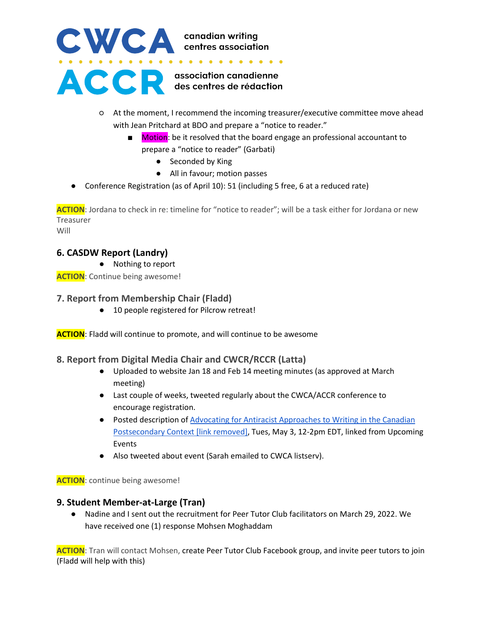

- At the moment, I recommend the incoming treasurer/executive committee move ahead with Jean Pritchard at BDO and prepare a "notice to reader."
	- Motion: be it resolved that the board engage an professional accountant to prepare a "notice to reader" (Garbati)
		- Seconded by King
		- All in favour; motion passes
- Conference Registration (as of April 10): 51 (including 5 free, 6 at a reduced rate)

**ACTION**: Jordana to check in re: timeline for "notice to reader"; will be a task either for Jordana or new Treasurer Will

### **6. CASDW Report (Landry)**

● Nothing to report

**ACTION**: Continue being awesome!

#### **7. Report from Membership Chair (Fladd)**

● 10 people registered for Pilcrow retreat!

**ACTION**: Fladd will continue to promote, and will continue to be awesome

#### **8. Report from Digital Media Chair and CWCR/RCCR (Latta)**

- Uploaded to website Jan 18 and Feb 14 meeting minutes (as approved at March meeting)
- Last couple of weeks, tweeted regularly about the CWCA/ACCR conference to encourage registration.
- Posted description of Advocating for Antiracist Approaches to Writing in the Canadian Postsecondary Context [link removed], Tues, May 3, 12-2pm EDT, linked from Upcoming Events
- Also tweeted about event (Sarah emailed to CWCA listserv).

**ACTION**: continue being awesome!

#### **9. Student Member-at-Large (Tran)**

● Nadine and I sent out the recruitment for Peer Tutor Club facilitators on March 29, 2022. We have received one (1) response Mohsen Moghaddam

**ACTION**: Tran will contact Mohsen, create Peer Tutor Club Facebook group, and invite peer tutors to join (Fladd will help with this)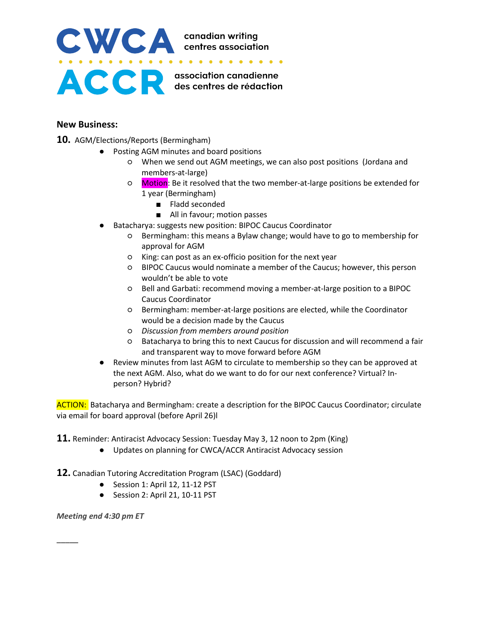

#### **New Business:**

- **10.** AGM/Elections/Reports (Bermingham)
	- Posting AGM minutes and board positions
		- When we send out AGM meetings, we can also post positions (Jordana and members-at-large)
		- Motion: Be it resolved that the two member-at-large positions be extended for 1 year (Bermingham)
			- Fladd seconded
			- All in favour; motion passes
	- Batacharya: suggests new position: BIPOC Caucus Coordinator
		- Bermingham: this means a Bylaw change; would have to go to membership for approval for AGM
		- King: can post as an ex-officio position for the next year
		- BIPOC Caucus would nominate a member of the Caucus; however, this person wouldn't be able to vote
		- Bell and Garbati: recommend moving a member-at-large position to a BIPOC Caucus Coordinator
		- Bermingham: member-at-large positions are elected, while the Coordinator would be a decision made by the Caucus
		- *Discussion from members around position*
		- Batacharya to bring this to next Caucus for discussion and will recommend a fair and transparent way to move forward before AGM
	- Review minutes from last AGM to circulate to membership so they can be approved at the next AGM. Also, what do we want to do for our next conference? Virtual? Inperson? Hybrid?

ACTION: Batacharya and Bermingham: create a description for the BIPOC Caucus Coordinator; circulate via email for board approval (before April 26)l

**11.** Reminder: Antiracist Advocacy Session: Tuesday May 3, 12 noon to 2pm (King)

● Updates on planning for CWCA/ACCR Antiracist Advocacy session

**12.** Canadian Tutoring Accreditation Program (LSAC) (Goddard)

- Session 1: April 12, 11-12 PST
- Session 2: April 21, 10-11 PST

*Meeting end 4:30 pm ET*

**\_\_\_\_\_**